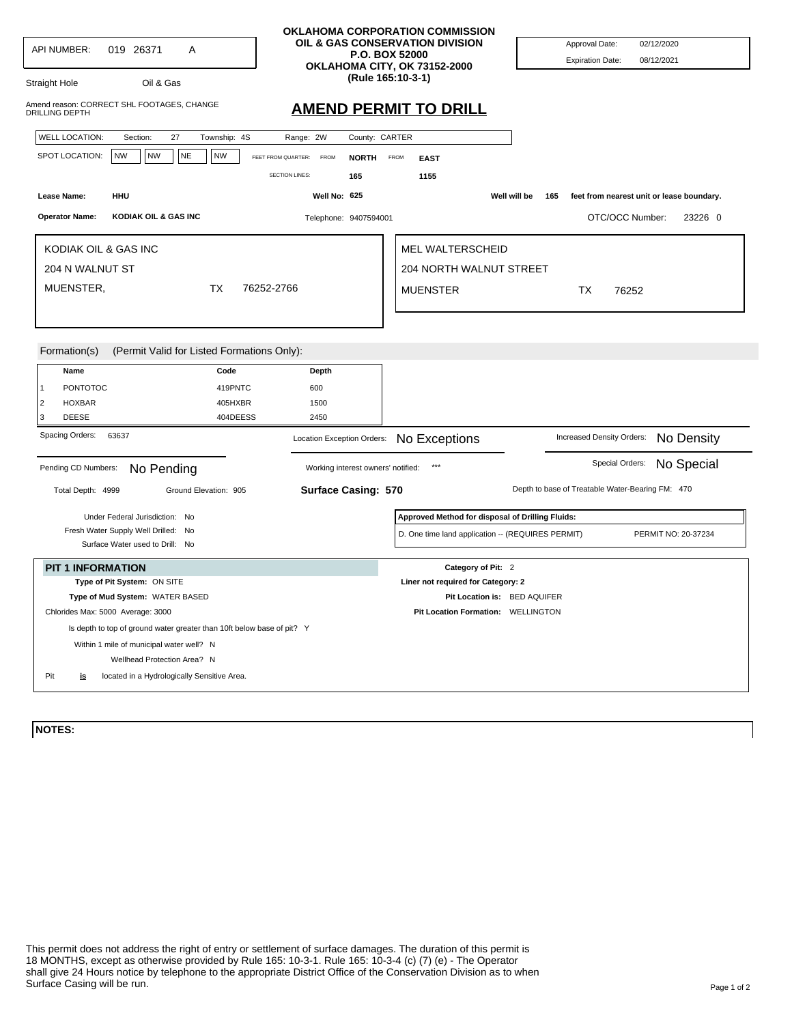|                                     |                                                                            |                                            |                                    | OKLAHOMA CORPORATION COMMISSION<br>OIL & GAS CONSERVATION DIVISION |                                                  |
|-------------------------------------|----------------------------------------------------------------------------|--------------------------------------------|------------------------------------|--------------------------------------------------------------------|--------------------------------------------------|
| <b>API NUMBER:</b>                  | 019 26371<br>A                                                             |                                            |                                    | P.O. BOX 52000                                                     | Approval Date:<br>02/12/2020                     |
|                                     |                                                                            |                                            |                                    | OKLAHOMA CITY, OK 73152-2000                                       | <b>Expiration Date:</b><br>08/12/2021            |
| Straight Hole                       | Oil & Gas                                                                  |                                            |                                    | (Rule 165:10-3-1)                                                  |                                                  |
| DRILLING DEPTH                      | Amend reason: CORRECT SHL FOOTAGES, CHANGE                                 |                                            |                                    | <b>AMEND PERMIT TO DRILL</b>                                       |                                                  |
| <b>WELL LOCATION:</b>               | 27<br>Section:                                                             | Township: 4S                               | Range: 2W<br>County: CARTER        |                                                                    |                                                  |
| SPOT LOCATION:                      | <b>NW</b><br><b>NW</b><br><b>NE</b>                                        | <b>NW</b><br>FEET FROM QUARTER:            | <b>FROM</b><br><b>NORTH</b>        | <b>FROM</b><br><b>EAST</b>                                         |                                                  |
|                                     |                                                                            | <b>SECTION LINES:</b>                      | 165                                | 1155                                                               |                                                  |
| Lease Name:                         | HHU                                                                        |                                            | Well No: 625                       | Well will be                                                       | 165<br>feet from nearest unit or lease boundary. |
|                                     |                                                                            |                                            |                                    |                                                                    |                                                  |
| <b>Operator Name:</b>               | KODIAK OIL & GAS INC                                                       |                                            | Telephone: 9407594001              |                                                                    | OTC/OCC Number:<br>23226 0                       |
|                                     | KODIAK OIL & GAS INC                                                       |                                            |                                    | MEL WALTERSCHEID                                                   |                                                  |
|                                     |                                                                            |                                            |                                    | <b>204 NORTH WALNUT STREET</b>                                     |                                                  |
| 204 N WALNUT ST                     |                                                                            |                                            |                                    |                                                                    |                                                  |
| MUENSTER,                           |                                                                            | <b>TX</b><br>76252-2766                    |                                    | <b>MUENSTER</b>                                                    | TX<br>76252                                      |
|                                     |                                                                            |                                            |                                    |                                                                    |                                                  |
| Formation(s)                        |                                                                            | (Permit Valid for Listed Formations Only): |                                    |                                                                    |                                                  |
| Name                                |                                                                            | Code                                       | Depth                              |                                                                    |                                                  |
| <b>PONTOTOC</b><br>1                |                                                                            | 419PNTC                                    | 600                                |                                                                    |                                                  |
| $\overline{2}$<br><b>HOXBAR</b>     |                                                                            | 405HXBR                                    | 1500                               |                                                                    |                                                  |
| 3<br><b>DEESE</b>                   |                                                                            | 404DEESS                                   | 2450                               |                                                                    |                                                  |
| Spacing Orders:                     | 63637                                                                      |                                            | Location Exception Orders:         | No Exceptions                                                      | No Density<br>Increased Density Orders:          |
| Pending CD Numbers:<br>No Pending   |                                                                            |                                            | Working interest owners' notified: | $***$                                                              | No Special<br>Special Orders:                    |
| Total Depth: 4999                   |                                                                            | Ground Elevation: 905                      | <b>Surface Casing: 570</b>         |                                                                    | Depth to base of Treatable Water-Bearing FM: 470 |
|                                     | Under Federal Jurisdiction: No                                             |                                            |                                    | Approved Method for disposal of Drilling Fluids:                   |                                                  |
| Fresh Water Supply Well Drilled: No |                                                                            |                                            |                                    | D. One time land application -- (REQUIRES PERMIT)                  | PERMIT NO: 20-37234                              |
|                                     | Surface Water used to Drill: No                                            |                                            |                                    |                                                                    |                                                  |
|                                     | <b>PIT 1 INFORMATION</b>                                                   |                                            |                                    | Category of Pit: 2                                                 |                                                  |
|                                     |                                                                            |                                            |                                    | Liner not required for Category: 2                                 |                                                  |
|                                     | Type of Pit System: ON SITE                                                |                                            |                                    |                                                                    |                                                  |
|                                     | Type of Mud System: WATER BASED                                            |                                            |                                    | Pit Location is: BED AQUIFER                                       |                                                  |
|                                     | Chlorides Max: 5000 Average: 3000                                          |                                            |                                    | Pit Location Formation: WELLINGTON                                 |                                                  |
|                                     | Is depth to top of ground water greater than 10ft below base of pit? Y     |                                            |                                    |                                                                    |                                                  |
|                                     | Within 1 mile of municipal water well? N                                   |                                            |                                    |                                                                    |                                                  |
| Pit<br><u>is</u>                    | Wellhead Protection Area? N<br>located in a Hydrologically Sensitive Area. |                                            |                                    |                                                                    |                                                  |

**NOTES:**